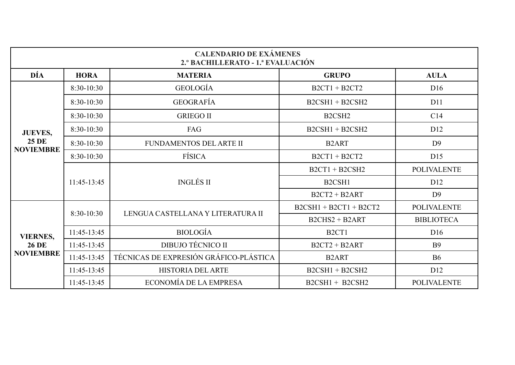| <b>CALENDARIO DE EXÁMENES</b><br>2.º BACHILLERATO - 1.ª EVALUACIÓN |             |                                        |                                 |                    |  |  |  |
|--------------------------------------------------------------------|-------------|----------------------------------------|---------------------------------|--------------------|--|--|--|
| DÍA                                                                | <b>HORA</b> | <b>MATERIA</b>                         | <b>GRUPO</b>                    | <b>AULA</b>        |  |  |  |
| <b>JUEVES,</b><br><b>25 DE</b><br><b>NOVIEMBRE</b>                 | 8:30-10:30  | <b>GEOLOGÍA</b>                        | $B2CT1 + B2CT2$                 | D16                |  |  |  |
|                                                                    | 8:30-10:30  | <b>GEOGRAFÍA</b>                       | $B2CSH1 + B2CSH2$               | D11                |  |  |  |
|                                                                    | 8:30-10:30  | <b>GRIEGO II</b>                       | B <sub>2</sub> CSH <sub>2</sub> | C14                |  |  |  |
|                                                                    | 8:30-10:30  | FAG                                    | $B2CSH1 + B2CSH2$               | D12                |  |  |  |
|                                                                    | 8:30-10:30  | <b>FUNDAMENTOS DEL ARTE II</b>         | <b>B2ART</b>                    | D <sub>9</sub>     |  |  |  |
|                                                                    | 8:30-10:30  | <b>FÍSICA</b>                          | $B2CT1 + B2CT2$                 | D15                |  |  |  |
|                                                                    | 11:45-13:45 | <b>INGLÉS II</b>                       | $B2CT1 + B2CSH2$                | <b>POLIVALENTE</b> |  |  |  |
|                                                                    |             |                                        | B <sub>2</sub> CSH <sub>1</sub> | D <sub>12</sub>    |  |  |  |
|                                                                    |             |                                        | $B2CT2 + B2ART$                 | D <sup>9</sup>     |  |  |  |
| <b>VIERNES,</b><br><b>26 DE</b><br><b>NOVIEMBRE</b>                | 8:30-10:30  | LENGUA CASTELLANA Y LITERATURA II      | $B2CSH1 + B2CT1 + B2CT2$        | <b>POLIVALENTE</b> |  |  |  |
|                                                                    |             |                                        | $B2CHS2 + B2ART$                | <b>BIBLIOTECA</b>  |  |  |  |
|                                                                    | 11:45-13:45 | <b>BIOLOGÍA</b>                        | B <sub>2</sub> CT <sub>1</sub>  | D16                |  |  |  |
|                                                                    | 11:45-13:45 | <b>DIBUJO TÉCNICO II</b>               | $B2CT2 + B2ART$                 | <b>B9</b>          |  |  |  |
|                                                                    | 11:45-13:45 | TÉCNICAS DE EXPRESIÓN GRÁFICO-PLÁSTICA | B <sub>2</sub> ART              | <b>B6</b>          |  |  |  |
|                                                                    | 11:45-13:45 | <b>HISTORIA DEL ARTE</b>               | $B2CSH1 + B2CSH2$               | D <sub>12</sub>    |  |  |  |
|                                                                    | 11:45-13:45 | ECONOMÍA DE LA EMPRESA                 | $B2CSH1 + B2CSH2$               | <b>POLIVALENTE</b> |  |  |  |